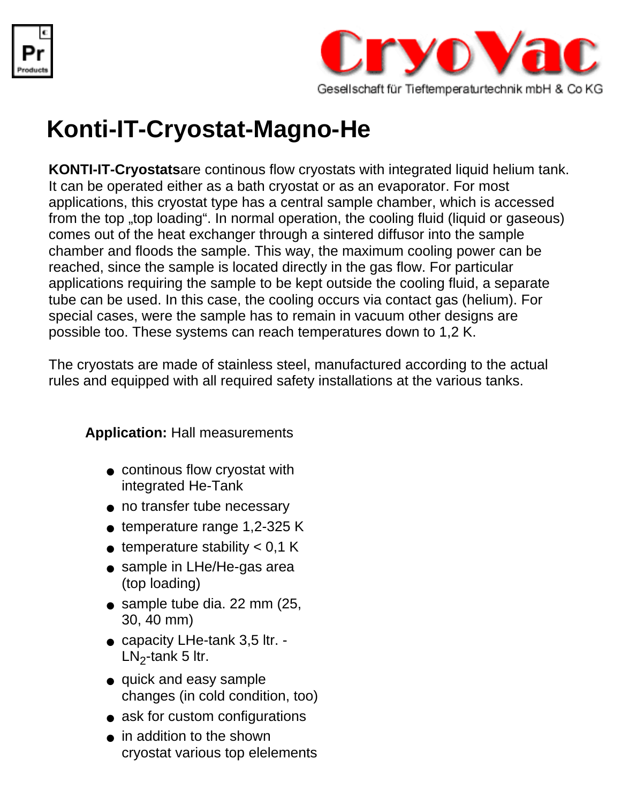



## **Konti-IT-Cryostat-Magno-He**

**KONTI-IT-Cryostats**are continous flow cryostats with integrated liquid helium tank. It can be operated either as a bath cryostat or as an evaporator. For most applications, this cryostat type has a central sample chamber, which is accessed from the top "top loading". In normal operation, the cooling fluid (liquid or gaseous) comes out of the heat exchanger through a sintered diffusor into the sample chamber and floods the sample. This way, the maximum cooling power can be reached, since the sample is located directly in the gas flow. For particular applications requiring the sample to be kept outside the cooling fluid, a separate tube can be used. In this case, the cooling occurs via contact gas (helium). For special cases, were the sample has to remain in vacuum other designs are possible too. These systems can reach temperatures down to 1,2 K.

The cryostats are made of stainless steel, manufactured according to the actual rules and equipped with all required safety installations at the various tanks.

**Application:** Hall measurements

- continous flow cryostat with integrated He-Tank
- no transfer tube necessary
- $\bullet$  temperature range 1,2-325 K
- $\bullet$  temperature stability  $< 0.1$  K
- sample in LHe/He-gas area (top loading)
- sample tube dia. 22 mm (25, 30, 40 mm)
- capacity LHe-tank 3,5 ltr. - $LN<sub>2</sub>$ -tank 5 ltr.
- quick and easy sample changes (in cold condition, too)
- ask for custom configurations
- in addition to the shown cryostat various top elelements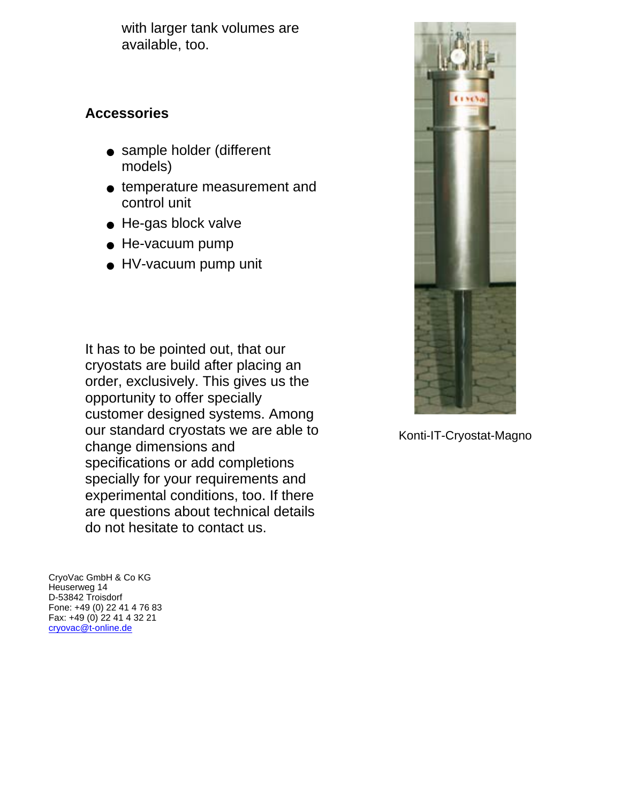with larger tank volumes are available, too.

## **Accessories**

- sample holder (different models)
- temperature measurement and control unit
- He-gas block valve
- He-vacuum pump
- HV-vacuum pump unit

It has to be pointed out, that our cryostats are build after placing an order, exclusively. This gives us the opportunity to offer specially customer designed systems. Among our standard cryostats we are able to change dimensions and specifications or add completions specially for your requirements and experimental conditions, too. If there are questions about technical details do not hesitate to contact us.

CryoVac GmbH & Co KG Heuserweg 14 D-53842 Troisdorf Fone: +49 (0) 22 41 4 76 83 Fax: +49 (0) 22 41 4 32 21 [cryovac@t-online.de](mailto:cryovac@t-online.de)



Konti-IT-Cryostat-Magno